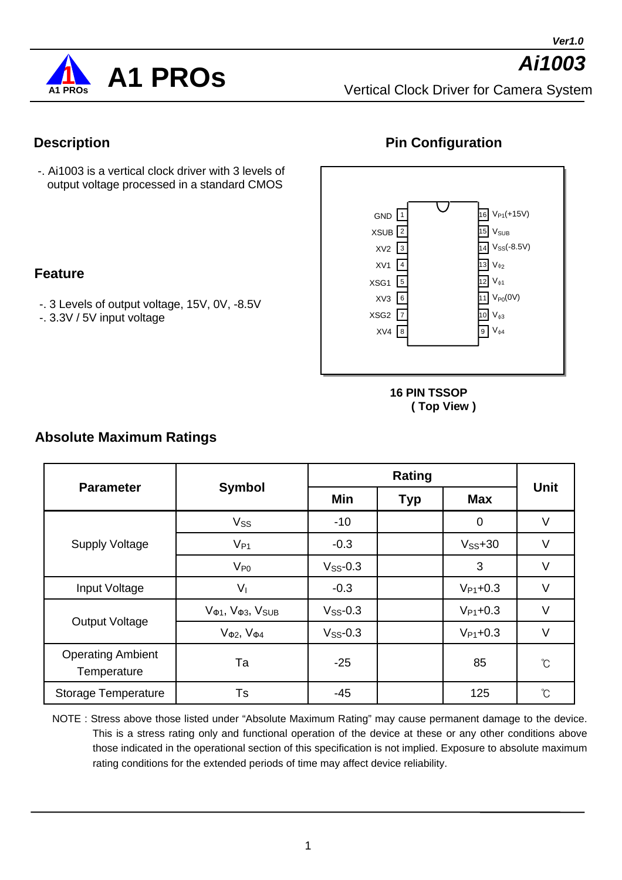*Ai1003*



Vertical Clock Driver for Camera System

#### **Description**

**Feature**

-. Ai1003 is a vertical clock driver with 3 levels of output voltage processed in a standard CMOS

-. 3 Levels of output voltage, 15V, 0V, -8.5V

-. 3.3V / 5V input voltage

#### **Pin Configuration**



**16 PIN TSSOP ( Top View )**

# **Absolute Maximum Ratings**

| <b>Parameter</b>                        |                     |               | <b>Unit</b> |                |                   |  |
|-----------------------------------------|---------------------|---------------|-------------|----------------|-------------------|--|
|                                         | <b>Symbol</b>       | Min           | <b>Typ</b>  | <b>Max</b>     |                   |  |
|                                         | Vss                 | $-10$         |             | $\overline{0}$ | $\vee$            |  |
| <b>Supply Voltage</b>                   | $V_{P1}$            | $-0.3$        |             | $V_{SS} + 30$  | V                 |  |
|                                         | $V_{P0}$            | $V_{SS}$ -0.3 |             | 3              | $\vee$            |  |
| Input Voltage                           | $V_{\rm I}$         | $-0.3$        |             | $V_{P1}$ +0.3  | $\vee$            |  |
| <b>Output Voltage</b>                   | $V_1, V_3, V_{SUB}$ | $V_{SS}$ -0.3 |             | $V_{P1}$ +0.3  | $\vee$            |  |
|                                         | $V_2, V_4$          | $V_{SS}$ -0.3 |             | $V_{P1}$ +0.3  | $\vee$            |  |
| <b>Operating Ambient</b><br>Temperature | Ta                  | $-25$         |             | 85             | $\rm ^{\circ}C$   |  |
| <b>Storage Temperature</b>              | Ts                  | $-45$         |             | 125            | $\rm ^{\circ}\!C$ |  |

NOTE : Stress above those listed under "Absolute Maximum Rating" may cause permanent damage to the device. This is a stress rating only and functional operation of the device at these or any other conditions above those indicated in the operational section of this specification is not implied. Exposure to absolute maximum rating conditions for the extended periods of time may affect device reliability.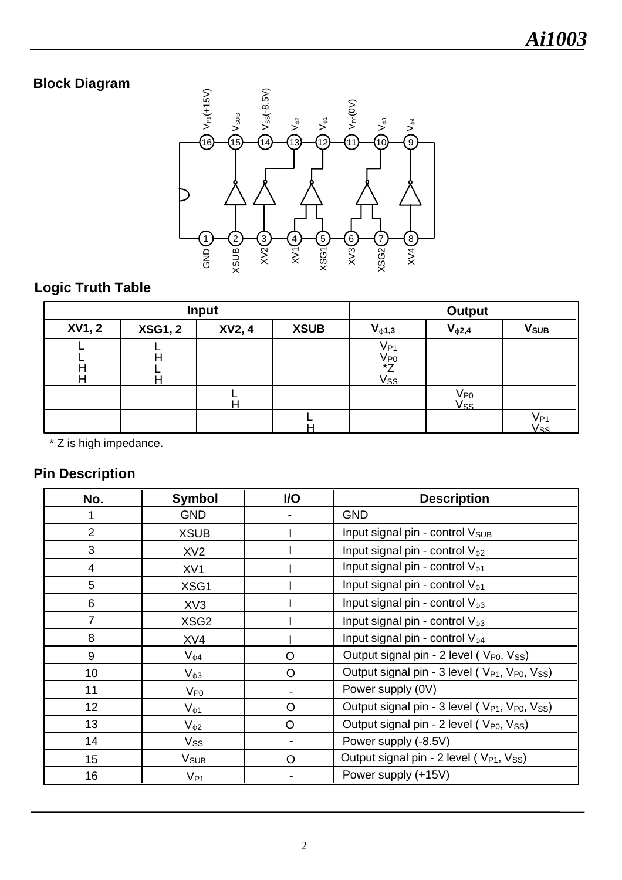# **Block Diagram**



# **Logic Truth Table**

| Input         |                |        |             | <b>Output</b>                                                                                     |                      |                         |  |
|---------------|----------------|--------|-------------|---------------------------------------------------------------------------------------------------|----------------------|-------------------------|--|
| <b>XV1, 2</b> | <b>XSG1, 2</b> | XV2, 4 | <b>XSUB</b> | $V_{\phi 1,3}$                                                                                    | $V_{\phi2,4}$        | <b>V</b> <sub>SUB</sub> |  |
|               | п              |        |             | $\frac{\overline{V_{P1}}}{\overline{V_{P0}}}\n x Z\n \frac{\overline{V_{SS}}}{\overline{V_{SS}}}$ |                      |                         |  |
|               |                |        |             |                                                                                                   | $V_{P0}$<br>$V_{SS}$ |                         |  |
|               |                |        |             |                                                                                                   |                      | V <sub>P1</sub><br>Vss  |  |

\* Z is high impedance.

## **Pin Description**

| No.             | <b>Symbol</b>    | I/O     | <b>Description</b>                                                                 |  |  |
|-----------------|------------------|---------|------------------------------------------------------------------------------------|--|--|
| 1               | <b>GND</b>       |         | <b>GND</b>                                                                         |  |  |
| $\overline{2}$  | <b>XSUB</b>      |         | Input signal pin - control V <sub>SUB</sub>                                        |  |  |
| 3               | XV <sub>2</sub>  |         | Input signal pin - control $V_{\phi 2}$                                            |  |  |
| $\overline{4}$  | XV <sub>1</sub>  |         | Input signal pin - control $V_{\phi 1}$                                            |  |  |
| 5               | XSG1             |         | Input signal pin - control $V_{\phi 1}$                                            |  |  |
| 6               | XV3              |         | Input signal pin - control $V_{\phi 3}$                                            |  |  |
| $\overline{7}$  | XSG <sub>2</sub> |         | Input signal pin - control $V_{\phi 3}$                                            |  |  |
| 8               | XV4              |         | Input signal pin - control $V_{\phi 4}$                                            |  |  |
| 9               | $V_{\phi 4}$     | $\circ$ | Output signal pin - 2 level (V <sub>P0</sub> , V <sub>SS</sub> )                   |  |  |
| 10              | $V_{\phi 3}$     | $\circ$ | Output signal pin - 3 level (V <sub>P1</sub> , V <sub>P0</sub> , V <sub>SS</sub> ) |  |  |
| 11              | $V_{P0}$         |         | Power supply (0V)                                                                  |  |  |
| 12 <sub>2</sub> | $V_{\phi 1}$     | O       | Output signal pin - 3 level (V <sub>P1</sub> , V <sub>P0</sub> , V <sub>SS</sub> ) |  |  |
| 13              | $V_{\phi 2}$     | $\circ$ | Output signal pin - 2 level (V <sub>P0</sub> , V <sub>SS</sub> )                   |  |  |
| 14              | Vss              |         | Power supply (-8.5V)                                                               |  |  |
| 15              | V <sub>SUB</sub> | O       | Output signal pin - 2 level (V <sub>P1</sub> , V <sub>SS</sub> )                   |  |  |
| 16              | $V_{P1}$         |         | Power supply (+15V)                                                                |  |  |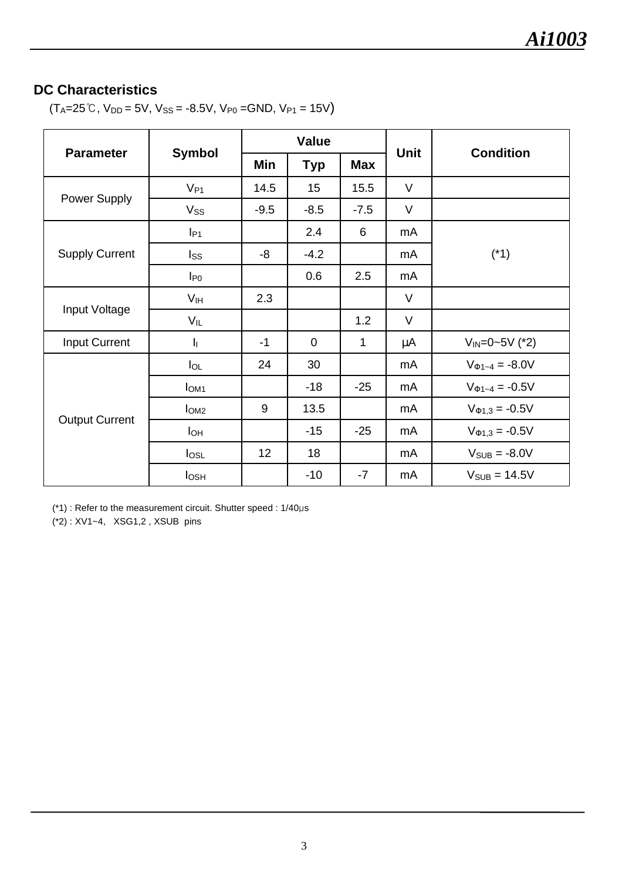#### **DC Characteristics**

 $(T_A=25\degree C, V_{DD}=5V, V_{SS}= -8.5V, V_{P0}=GND, V_{P1}=15V)$ 

|                       | <b>Symbol</b>           | <b>Value</b> |                |            |             |                        |  |
|-----------------------|-------------------------|--------------|----------------|------------|-------------|------------------------|--|
| <b>Parameter</b>      |                         | Min          | <b>Typ</b>     | <b>Max</b> | <b>Unit</b> | <b>Condition</b>       |  |
|                       | $V_{P1}$                | 14.5         | 15             | 15.5       | $\vee$      |                        |  |
| Power Supply          | $V_{SS}$                | $-9.5$       | $-8.5$         | $-7.5$     | $\vee$      |                        |  |
|                       | $I_{P1}$                |              | 2.4            | 6          | mA          |                        |  |
| <b>Supply Current</b> | $I_{SS}$                | -8           | $-4.2$         |            | mA          | $(*1)$                 |  |
|                       | $I_{P0}$                |              | 0.6            | 2.5        | mA          |                        |  |
| Input Voltage         | V <sub>IH</sub>         | 2.3          |                |            | $\vee$      |                        |  |
|                       | $V_{IL}$                |              |                | 1.2        | $\vee$      |                        |  |
| <b>Input Current</b>  | $\mathbf{I}_{\text{I}}$ | $-1$         | $\overline{0}$ | 1          | μA          | $V_{IN} = 0 - 5V$ (*2) |  |
|                       | $I_{OL}$                | 24           | 30             |            | mA          | $V_{1-4} = -8.0V$      |  |
| <b>Output Current</b> | I <sub>OM1</sub>        |              | $-18$          | $-25$      | mA          | $V_{1-4} = -0.5V$      |  |
|                       | I <sub>OM2</sub>        | 9            | 13.5           |            | mA          | $V_{1,3} = -0.5V$      |  |
|                       | I <sub>OH</sub>         |              | $-15$          | $-25$      | mA          | $V_{1,3} = -0.5V$      |  |
|                       | log <sub>L</sub>        | 12           | 18             |            | mA          | $V_{SUB} = -8.0V$      |  |
|                       | $I_{OSH}$               |              | $-10$          | $-7$       | mA          | $V_{SUB} = 14.5V$      |  |

(\*1) : Refer to the measurement circuit. Shutter speed : 1/40μs

(\*2) : XV1~4, XSG1,2 , XSUB pins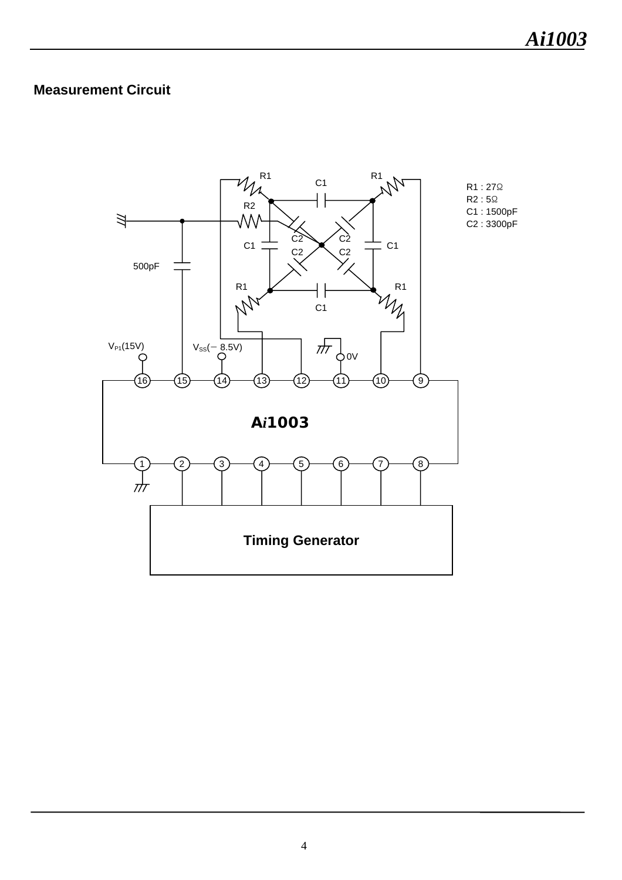## **Measurement Circuit**

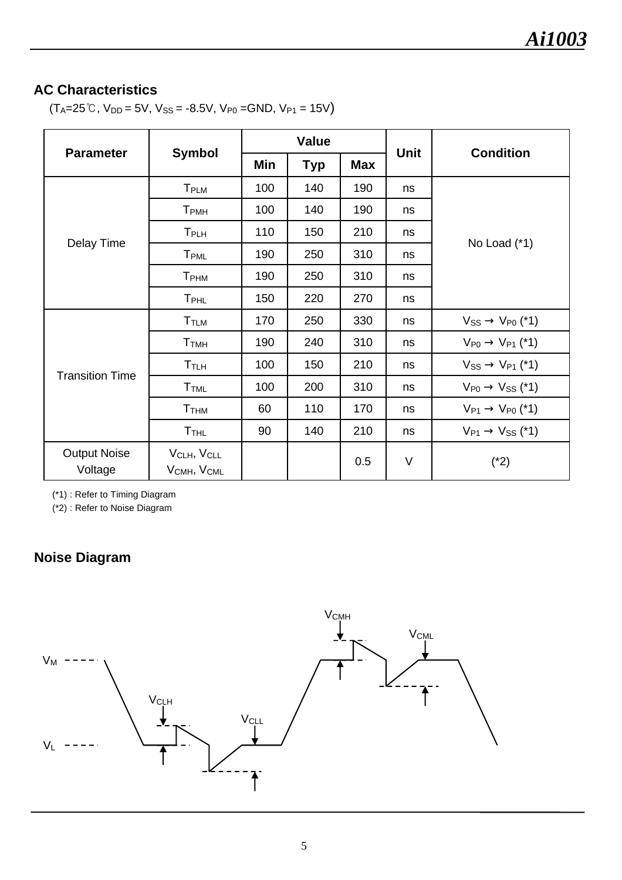## **AC Characteristics**

 $(T_A=25\degree C, V_{DD}=5V, V_{SS}= -8.5V, V_{P0}=GND, V_{P1}=15V)$ 

|                                |                                                   | <b>Value</b> |            |            |             |                           |  |
|--------------------------------|---------------------------------------------------|--------------|------------|------------|-------------|---------------------------|--|
| <b>Parameter</b>               | <b>Symbol</b>                                     | Min          | <b>Typ</b> | <b>Max</b> | <b>Unit</b> | <b>Condition</b>          |  |
|                                | T <sub>PLM</sub>                                  | 100          | 140        | 190        | ns          |                           |  |
|                                | <b>T</b> <sub>PMH</sub>                           | 100          | 140        | 190        | ns          |                           |  |
|                                | T <sub>PLH</sub>                                  | 110          | 150        | 210        | ns          |                           |  |
| Delay Time                     | <b>T</b> <sub>PML</sub>                           | 190          | 250        | 310        | ns          | No Load (*1)              |  |
|                                | <b>T</b> <sub>PHM</sub>                           | 190          | 250        | 310        | ns          |                           |  |
|                                | T <sub>PHL</sub>                                  | 150          | 220        | 270        | ns          |                           |  |
| <b>Transition Time</b>         | T <sub>TLM</sub>                                  | 170          | 250        | 330        | ns          | Vss<br>$V_{P0}$ (*1)      |  |
|                                | T <sub>TMH</sub>                                  | 190          | 240        | 310        | ns          | $V_{P0}$<br>$V_{P1}$ (*1) |  |
|                                | T <sub>TLH</sub>                                  | 100          | 150        | 210        | ns          | $V_{SS}$<br>$V_{P1}$ (*1) |  |
|                                | T <sub>TML</sub>                                  | 100          | 200        | 310        | ns          | $V_{P0}$<br>$V_{SS}$ (*1) |  |
|                                | T <sub>THM</sub>                                  | 60           | 110        | 170        | ns          | $V_{P0}$ (*1)<br>$V_{P1}$ |  |
|                                | T <sub>THL</sub>                                  | 90           | 140        | 210        | ns          | $V_{P1}$<br>$V_{SS}$ (*1) |  |
| <b>Output Noise</b><br>Voltage | VCLH, VCLL<br>V <sub>CMH</sub> , V <sub>CML</sub> |              |            | 0.5        | $\vee$      | $(*2)$                    |  |

(\*1) : Refer to Timing Diagram

(\*2) : Refer to Noise Diagram

# **Noise Diagram**

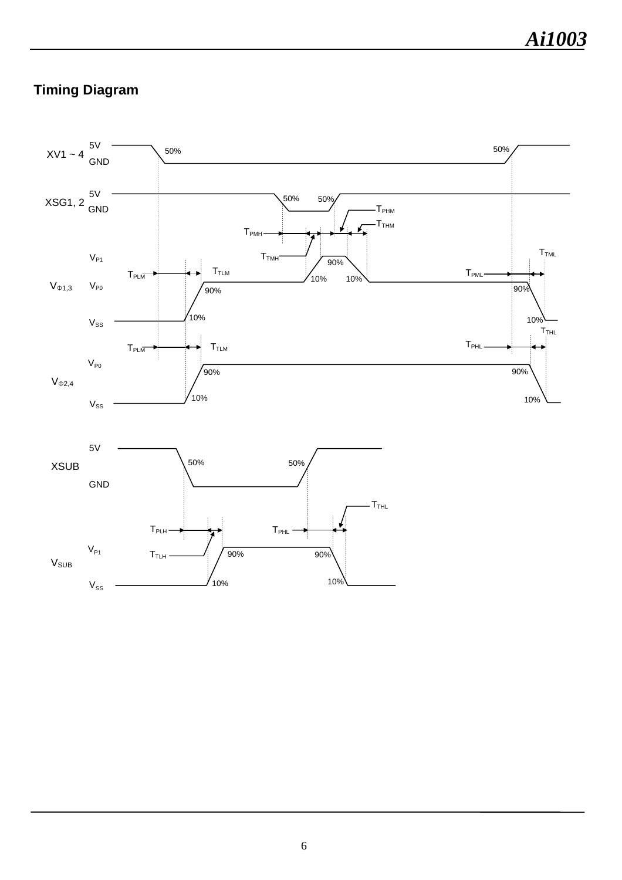# **Timing Diagram**

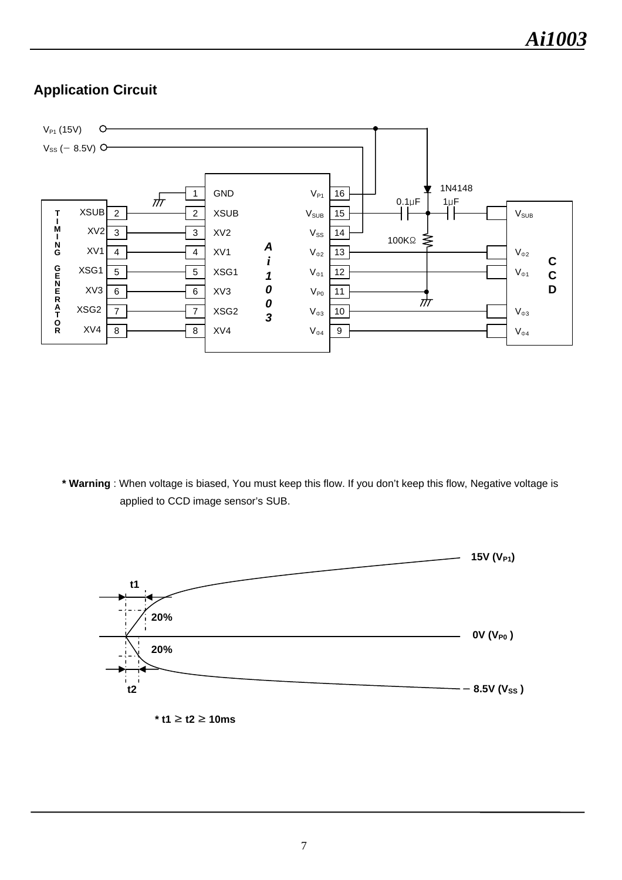## **Application Circuit**



**\* Warning** : When voltage is biased, You must keep this flow. If you don't keep this flow, Negative voltage is applied to CCD image sensor's SUB.